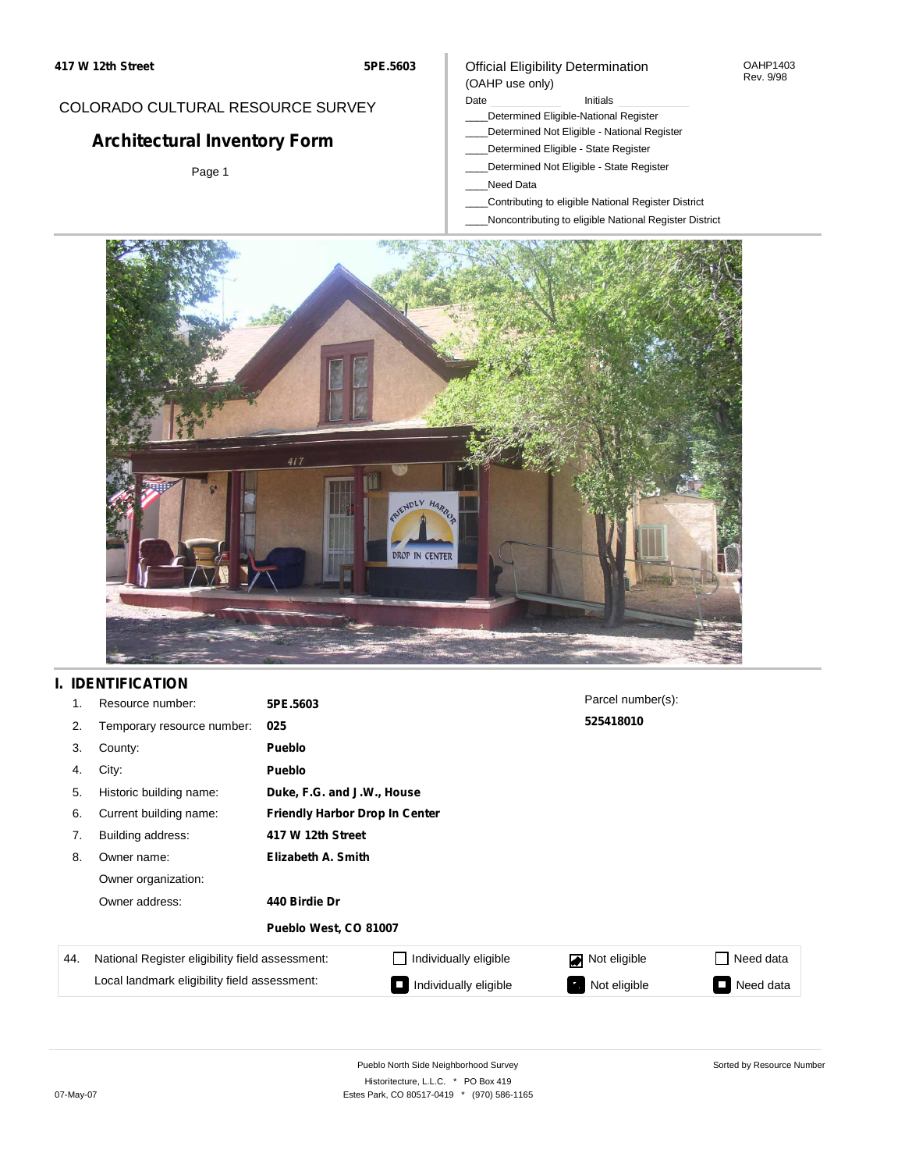#### OAHP1403 Rev. 9/98

### COLORADO CULTURAL RESOURCE SURVEY

# **Architectural Inventory Form**

Page 1

#### (OAHP use only) Date **Initials** Initials

\_\_\_\_Determined Eligible-National Register

Official Eligibility Determination

- \_\_\_\_Determined Not Eligible National Register
- \_\_\_\_Determined Eligible State Register
- \_\_\_\_Determined Not Eligible State Register
- \_\_\_\_Need Data
- \_\_\_\_Contributing to eligible National Register District
- \_\_\_\_Noncontributing to eligible National Register District



## **I. IDENTIFICATION**

| 1.  | Resource number:                                | 5PE.5603              |                                       | Parcel number(s):  |           |  |  |  |  |
|-----|-------------------------------------------------|-----------------------|---------------------------------------|--------------------|-----------|--|--|--|--|
| 2.  | Temporary resource number:                      | 025                   | 525418010                             |                    |           |  |  |  |  |
| 3.  | County:                                         | <b>Pueblo</b>         |                                       |                    |           |  |  |  |  |
| 4.  | City:                                           | <b>Pueblo</b>         |                                       |                    |           |  |  |  |  |
| 5.  | Historic building name:                         |                       | Duke, F.G. and J.W., House            |                    |           |  |  |  |  |
| 6.  | Current building name:                          |                       | <b>Friendly Harbor Drop In Center</b> |                    |           |  |  |  |  |
| 7.  | Building address:                               | 417 W 12th Street     |                                       |                    |           |  |  |  |  |
| 8.  | Owner name:                                     | Elizabeth A. Smith    |                                       |                    |           |  |  |  |  |
|     | Owner organization:                             |                       |                                       |                    |           |  |  |  |  |
|     | Owner address:                                  | 440 Birdie Dr         |                                       |                    |           |  |  |  |  |
|     |                                                 | Pueblo West, CO 81007 |                                       |                    |           |  |  |  |  |
| 44. | National Register eligibility field assessment: |                       | Individually eligible                 | Not eligible<br>◪  | Need data |  |  |  |  |
|     | Local landmark eligibility field assessment:    |                       | Individually eligible                 | Not eligible<br>ч. | Need data |  |  |  |  |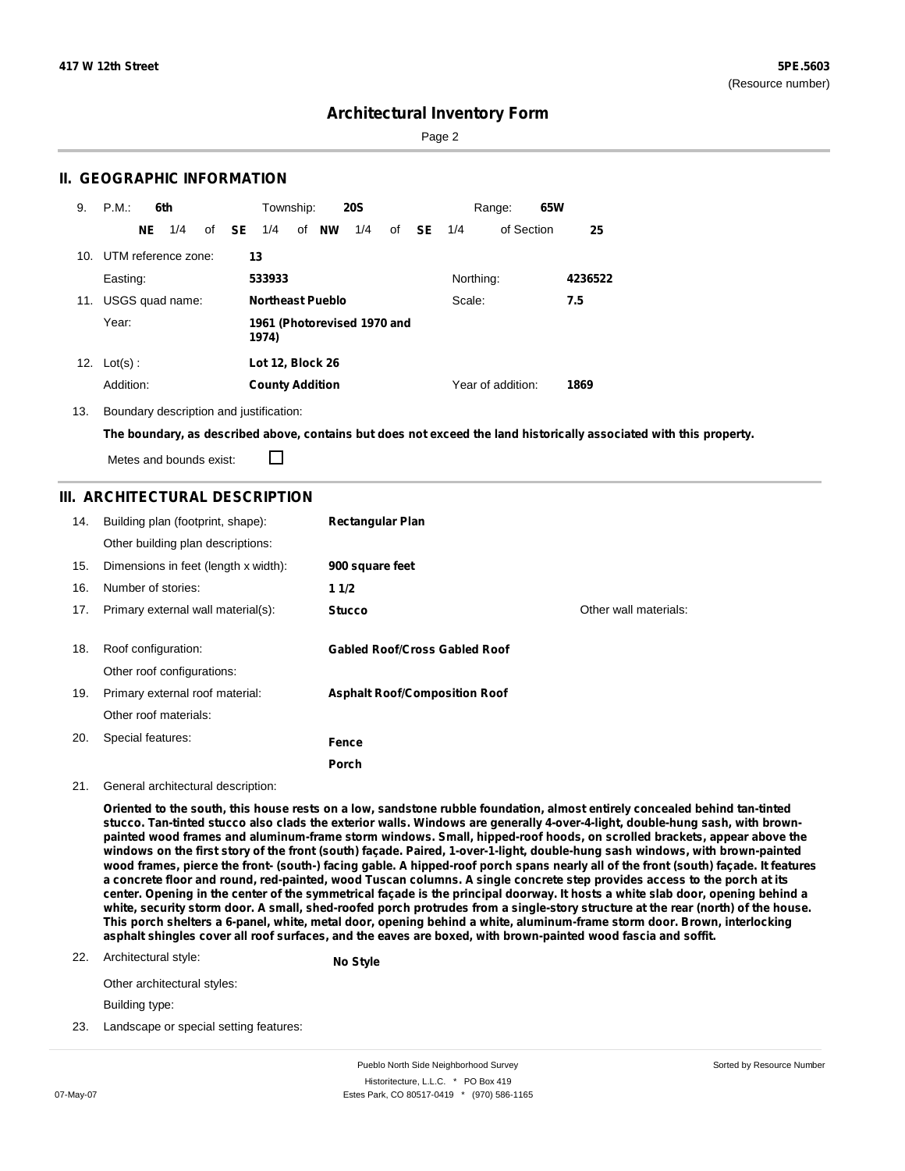Page 2

### **II. GEOGRAPHIC INFORMATION**

| 9.  | P.M.                                          |    | 6th |  |              | Township:               |       | <b>20S</b> |    |           |           | Range:            | 65W |         |
|-----|-----------------------------------------------|----|-----|--|--------------|-------------------------|-------|------------|----|-----------|-----------|-------------------|-----|---------|
|     |                                               | NE | 1/4 |  | of <b>SE</b> | 1/4                     | of NW | 1/4        | of | <b>SE</b> | 1/4       | of Section        |     | 25      |
| 10. | UTM reference zone:                           |    |     |  |              | 13                      |       |            |    |           |           |                   |     |         |
|     | Easting:                                      |    |     |  |              | 533933                  |       |            |    |           | Northing: |                   |     | 4236522 |
| 11. | USGS quad name:                               |    |     |  |              | <b>Northeast Pueblo</b> |       |            |    |           | Scale:    |                   |     | 7.5     |
|     | Year:<br>1961 (Photorevised 1970 and<br>1974) |    |     |  |              |                         |       |            |    |           |           |                   |     |         |
| 12. | $Lot(s)$ :                                    |    |     |  |              | <b>Lot 12, Block 26</b> |       |            |    |           |           |                   |     |         |
|     | Addition:                                     |    |     |  |              | <b>County Addition</b>  |       |            |    |           |           | Year of addition: |     | 1869    |

13. Boundary description and justification:

The boundary, as described above, contains but does not exceed the land historically associated with this property.

П Metes and bounds exist:

### **III. ARCHITECTURAL DESCRIPTION**

| 14. | Building plan (footprint, shape):<br>Other building plan descriptions: | <b>Rectangular Plan</b>              |                       |
|-----|------------------------------------------------------------------------|--------------------------------------|-----------------------|
| 15. | Dimensions in feet (length x width):                                   | 900 square feet                      |                       |
| 16. | Number of stories:                                                     | 11/2                                 |                       |
| 17. | Primary external wall material(s):                                     | <b>Stucco</b>                        | Other wall materials: |
|     |                                                                        |                                      |                       |
| 18. | Roof configuration:                                                    | <b>Gabled Roof/Cross Gabled Roof</b> |                       |
|     | Other roof configurations:                                             |                                      |                       |
| 19. | Primary external roof material:                                        | <b>Asphalt Roof/Composition Roof</b> |                       |
|     | Other roof materials:                                                  |                                      |                       |
| 20. | Special features:                                                      | Fence                                |                       |
|     |                                                                        | Porch                                |                       |

#### 21. General architectural description:

Oriented to the south, this house rests on a low, sandstone rubble foundation, almost entirely concealed behind tan-tinted stucco. Tan-tinted stucco also clads the exterior walls. Windows are generally 4-over-4-light, double-hung sash, with brownpainted wood frames and aluminum-frame storm windows. Small, hipped-roof hoods, on scrolled brackets, appear above the windows on the first story of the front (south) façade. Paired, 1-over-1-light, double-hung sash windows, with brown-painted wood frames, pierce the front- (south-) facing gable. A hipped-roof porch spans nearly all of the front (south) façade. It features a concrete floor and round, red-painted, wood Tuscan columns. A single concrete step provides access to the porch at its center. Opening in the center of the symmetrical façade is the principal doorway. It hosts a white slab door, opening behind a white, security storm door. A small, shed-roofed porch protrudes from a single-story structure at the rear (north) of the house. This porch shelters a 6-panel, white, metal door, opening behind a white, aluminum-frame storm door. Brown, interlocking asphalt shingles cover all roof surfaces, and the eaves are boxed, with brown-painted wood fascia and soffit.

22. Architectural style: **No Style**

Other architectural styles:

Building type:

23. Landscape or special setting features: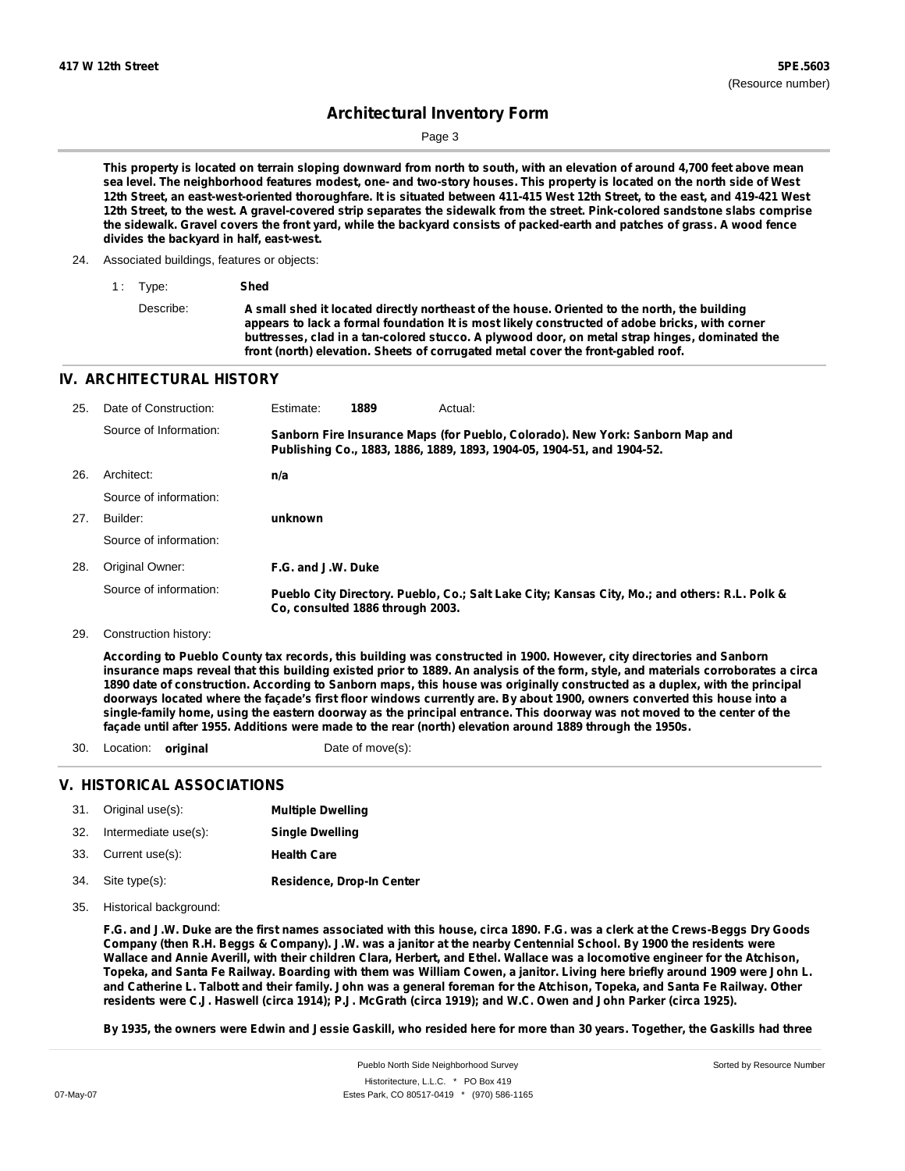Page 3

This property is located on terrain sloping downward from north to south, with an elevation of around 4,700 feet above mean sea level. The neighborhood features modest, one- and two-story houses. This property is located on the north side of West 12th Street, an east-west-oriented thoroughfare. It is situated between 411-415 West 12th Street, to the east, and 419-421 West 12th Street, to the west. A gravel-covered strip separates the sidewalk from the street. Pink-colored sandstone slabs comprise the sidewalk. Gravel covers the front yard, while the backyard consists of packed-earth and patches of grass. A wood fence **divides the backyard in half, east-west.**

24. Associated buildings, features or objects:

| 1 Type:   | Shed                                                                                                                                                                                                                                                                                                                                                                                 |
|-----------|--------------------------------------------------------------------------------------------------------------------------------------------------------------------------------------------------------------------------------------------------------------------------------------------------------------------------------------------------------------------------------------|
| Describe: | A small shed it located directly northeast of the house. Oriented to the north, the building<br>appears to lack a formal foundation It is most likely constructed of adobe bricks, with corner<br>buttresses, clad in a tan-colored stucco. A plywood door, on metal strap hinges, dominated the<br>front (north) elevation. Sheets of corrugated metal cover the front-gabled roof. |

#### **IV. ARCHITECTURAL HISTORY**

| 25. | Date of Construction:  | Estimate:          | 1889                             | Actual:                                                                                                                                                 |
|-----|------------------------|--------------------|----------------------------------|---------------------------------------------------------------------------------------------------------------------------------------------------------|
|     | Source of Information: |                    |                                  | Sanborn Fire Insurance Maps (for Pueblo, Colorado). New York: Sanborn Map and<br>Publishing Co., 1883, 1886, 1889, 1893, 1904-05, 1904-51, and 1904-52. |
| 26. | Architect:             | n/a                |                                  |                                                                                                                                                         |
|     | Source of information: |                    |                                  |                                                                                                                                                         |
| 27. | Builder:               | unknown            |                                  |                                                                                                                                                         |
|     | Source of information: |                    |                                  |                                                                                                                                                         |
| 28. | Original Owner:        | F.G. and J.W. Duke |                                  |                                                                                                                                                         |
|     | Source of information: |                    | Co. consulted 1886 through 2003. | Pueblo City Directory. Pueblo, Co.; Salt Lake City; Kansas City, Mo.; and others: R.L. Polk &                                                           |

29. Construction history:

According to Pueblo County tax records, this building was constructed in 1900. However, city directories and Sanborn insurance maps reveal that this building existed prior to 1889. An analysis of the form, style, and materials corroborates a circa 1890 date of construction. According to Sanborn maps, this house was originally constructed as a duplex, with the principal doorways located where the façade's first floor windows currently are. By about 1900, owners converted this house into a single-family home, using the eastern doorway as the principal entrance. This doorway was not moved to the center of the **façade until after 1955. Additions were made to the rear (north) elevation around 1889 through the 1950s.**

30. Location: **original** Date of move(s):

### **V. HISTORICAL ASSOCIATIONS**

| 31. | Original use(s): |  | <b>Multiple Dwelling</b> |
|-----|------------------|--|--------------------------|
|     |                  |  |                          |

- 32. 33. Intermediate use(s): Current use(s): **Single Dwelling Health Care**
- **Residence, Drop-In Center** Site type(s): 34.
- 35. Historical background:

F.G. and J.W. Duke are the first names associated with this house, circa 1890. F.G. was a clerk at the Crews-Beggs Dry Goods Company (then R.H. Beggs & Company). J.W. was a janitor at the nearby Centennial School. By 1900 the residents were Wallace and Annie Averill, with their children Clara, Herbert, and Ethel. Wallace was a locomotive engineer for the Atchison, Topeka, and Santa Fe Railway. Boarding with them was William Cowen, a janitor. Living here briefly around 1909 were John L. and Catherine L. Talbott and their family. John was a general foreman for the Atchison, Topeka, and Santa Fe Railway. Other residents were C.J. Haswell (circa 1914); P.J. McGrath (circa 1919); and W.C. Owen and John Parker (circa 1925).

By 1935, the owners were Edwin and Jessie Gaskill, who resided here for more than 30 years. Together, the Gaskills had three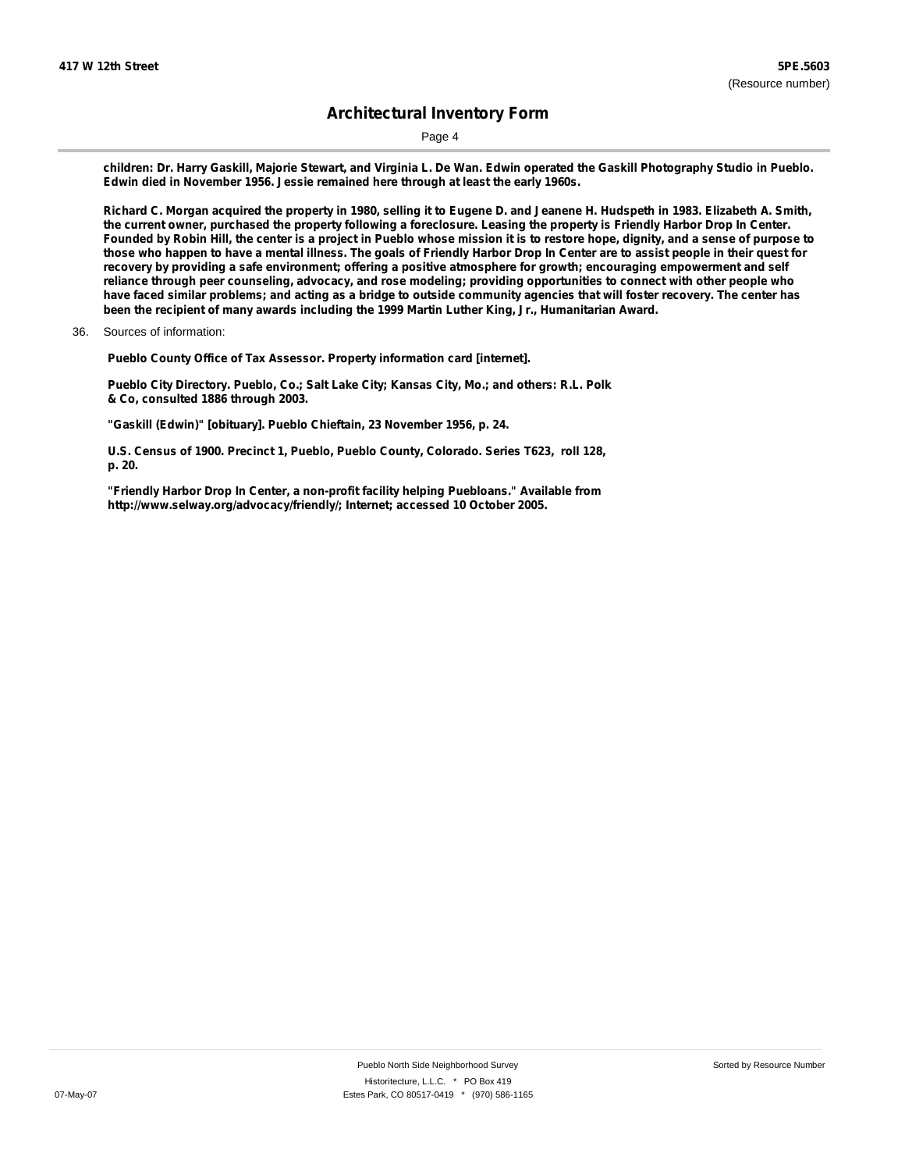Page 4

children: Dr. Harry Gaskill, Majorie Stewart, and Virginia L. De Wan. Edwin operated the Gaskill Photography Studio in Pueblo. **Edwin died in November 1956. Jessie remained here through at least the early 1960s.**

Richard C. Morgan acquired the property in 1980, selling it to Eugene D. and Jeanene H. Hudspeth in 1983. Elizabeth A. Smith, the current owner, purchased the property following a foreclosure. Leasing the property is Friendly Harbor Drop In Center. Founded by Robin Hill, the center is a project in Pueblo whose mission it is to restore hope, dignity, and a sense of purpose to those who happen to have a mental illness. The goals of Friendly Harbor Drop In Center are to assist people in their quest for recovery by providing a safe environment; offering a positive atmosphere for growth; encouraging empowerment and self reliance through peer counseling, advocacy, and rose modeling; providing opportunities to connect with other people who have faced similar problems; and acting as a bridge to outside community agencies that will foster recovery. The center has **been the recipient of many awards including the 1999 Martin Luther King, Jr., Humanitarian Award.**

**Pueblo County Office of Tax Assessor. Property information card [internet].**

**Pueblo City Directory. Pueblo, Co.; Salt Lake City; Kansas City, Mo.; and others: R.L. Polk & Co, consulted 1886 through 2003.**

**"Gaskill (Edwin)" [obituary]. Pueblo Chieftain, 23 November 1956, p. 24.**

**U.S. Census of 1900. Precinct 1, Pueblo, Pueblo County, Colorado. Series T623, roll 128, p. 20.**

**"Friendly Harbor Drop In Center, a non-profit facility helping Puebloans." Available from <http://www.selway.org/advocacy/friendly/;> Internet; accessed 10 October 2005.**

<sup>36.</sup> Sources of information: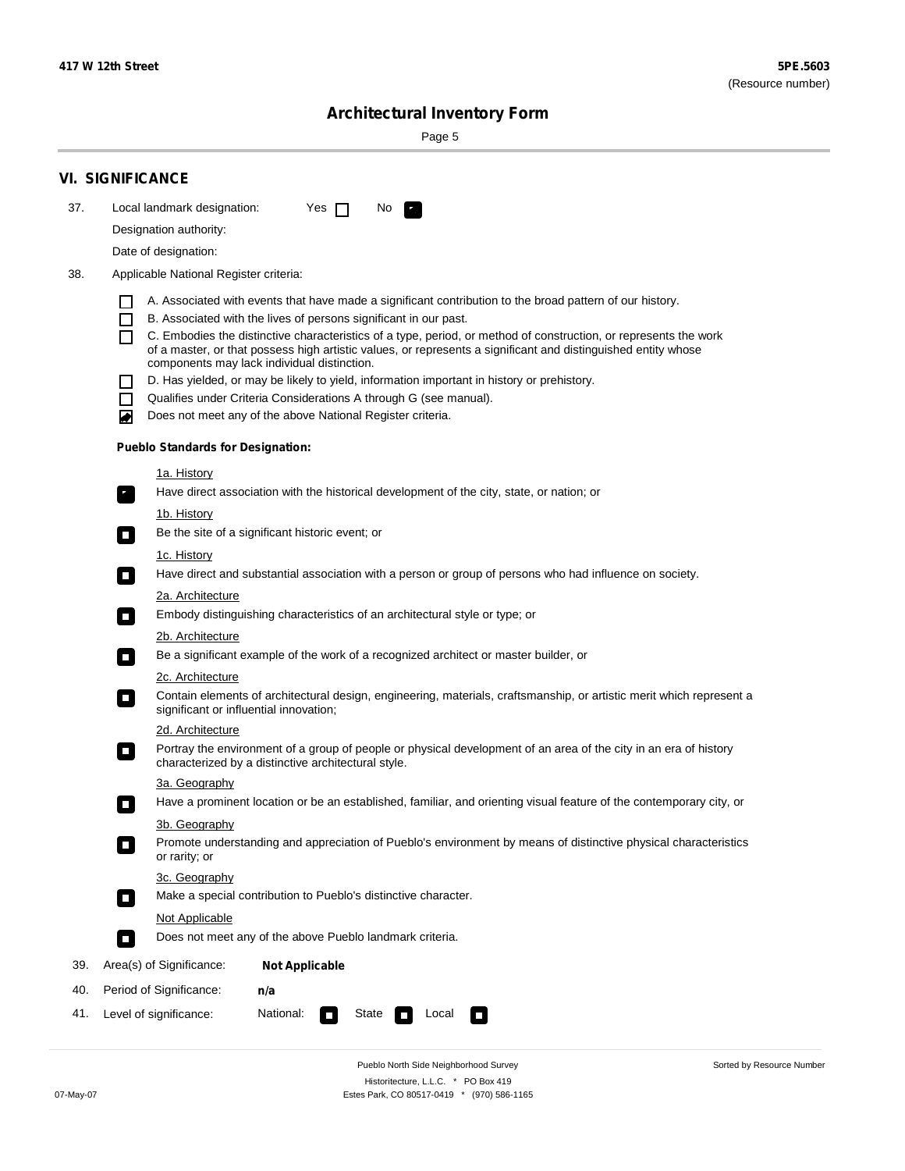Sorted by Resource Number

# **Architectural Inventory Form**

Page 5

|                                                                                              | <b>VI. SIGNIFICANCE</b>                                                                                                                                                                   |  |  |  |  |  |  |                                                                                                                                     |  |  |
|----------------------------------------------------------------------------------------------|-------------------------------------------------------------------------------------------------------------------------------------------------------------------------------------------|--|--|--|--|--|--|-------------------------------------------------------------------------------------------------------------------------------------|--|--|
| 37.                                                                                          | Local landmark designation:<br>Yes $\Box$<br>No.<br>$\mathcal{F}_\alpha$                                                                                                                  |  |  |  |  |  |  |                                                                                                                                     |  |  |
|                                                                                              | Designation authority:                                                                                                                                                                    |  |  |  |  |  |  |                                                                                                                                     |  |  |
|                                                                                              | Date of designation:                                                                                                                                                                      |  |  |  |  |  |  |                                                                                                                                     |  |  |
| 38.                                                                                          | Applicable National Register criteria:                                                                                                                                                    |  |  |  |  |  |  |                                                                                                                                     |  |  |
|                                                                                              | A. Associated with events that have made a significant contribution to the broad pattern of our history.                                                                                  |  |  |  |  |  |  |                                                                                                                                     |  |  |
| B. Associated with the lives of persons significant in our past.<br>$\overline{\phantom{a}}$ |                                                                                                                                                                                           |  |  |  |  |  |  |                                                                                                                                     |  |  |
|                                                                                              | C. Embodies the distinctive characteristics of a type, period, or method of construction, or represents the work                                                                          |  |  |  |  |  |  |                                                                                                                                     |  |  |
|                                                                                              | of a master, or that possess high artistic values, or represents a significant and distinguished entity whose<br>components may lack individual distinction.                              |  |  |  |  |  |  |                                                                                                                                     |  |  |
|                                                                                              | D. Has yielded, or may be likely to yield, information important in history or prehistory.                                                                                                |  |  |  |  |  |  |                                                                                                                                     |  |  |
|                                                                                              | Qualifies under Criteria Considerations A through G (see manual).                                                                                                                         |  |  |  |  |  |  |                                                                                                                                     |  |  |
|                                                                                              | Does not meet any of the above National Register criteria.<br>O                                                                                                                           |  |  |  |  |  |  |                                                                                                                                     |  |  |
|                                                                                              | <b>Pueblo Standards for Designation:</b>                                                                                                                                                  |  |  |  |  |  |  |                                                                                                                                     |  |  |
|                                                                                              | <u>1a. History</u>                                                                                                                                                                        |  |  |  |  |  |  |                                                                                                                                     |  |  |
|                                                                                              | Have direct association with the historical development of the city, state, or nation; or<br>$\overline{\phantom{a}}$ .                                                                   |  |  |  |  |  |  |                                                                                                                                     |  |  |
|                                                                                              | 1b. History                                                                                                                                                                               |  |  |  |  |  |  |                                                                                                                                     |  |  |
| Be the site of a significant historic event; or<br>$\Box$<br>1c. History                     |                                                                                                                                                                                           |  |  |  |  |  |  |                                                                                                                                     |  |  |
|                                                                                              |                                                                                                                                                                                           |  |  |  |  |  |  | Have direct and substantial association with a person or group of persons who had influence on society.<br>$\overline{\phantom{a}}$ |  |  |
|                                                                                              | 2a. Architecture                                                                                                                                                                          |  |  |  |  |  |  |                                                                                                                                     |  |  |
|                                                                                              | Embody distinguishing characteristics of an architectural style or type; or<br>$\overline{\phantom{a}}$                                                                                   |  |  |  |  |  |  |                                                                                                                                     |  |  |
|                                                                                              | <u>2b. Architecture</u><br>Be a significant example of the work of a recognized architect or master builder, or                                                                           |  |  |  |  |  |  |                                                                                                                                     |  |  |
|                                                                                              | $\mathcal{L}_{\mathcal{A}}$                                                                                                                                                               |  |  |  |  |  |  |                                                                                                                                     |  |  |
|                                                                                              | <b>2c. Architecture</b><br>Contain elements of architectural design, engineering, materials, craftsmanship, or artistic merit which represent a<br>О                                      |  |  |  |  |  |  |                                                                                                                                     |  |  |
|                                                                                              | significant or influential innovation;                                                                                                                                                    |  |  |  |  |  |  |                                                                                                                                     |  |  |
|                                                                                              | 2d. Architecture                                                                                                                                                                          |  |  |  |  |  |  |                                                                                                                                     |  |  |
|                                                                                              | Portray the environment of a group of people or physical development of an area of the city in an era of history<br>$\blacksquare$<br>characterized by a distinctive architectural style. |  |  |  |  |  |  |                                                                                                                                     |  |  |
|                                                                                              | 3a. Geography                                                                                                                                                                             |  |  |  |  |  |  |                                                                                                                                     |  |  |
|                                                                                              | Have a prominent location or be an established, familiar, and orienting visual feature of the contemporary city, or                                                                       |  |  |  |  |  |  |                                                                                                                                     |  |  |
|                                                                                              | 3b. Geography                                                                                                                                                                             |  |  |  |  |  |  |                                                                                                                                     |  |  |
|                                                                                              | Promote understanding and appreciation of Pueblo's environment by means of distinctive physical characteristics<br>or rarity; or                                                          |  |  |  |  |  |  |                                                                                                                                     |  |  |
|                                                                                              | 3c. Geography                                                                                                                                                                             |  |  |  |  |  |  |                                                                                                                                     |  |  |
|                                                                                              | Make a special contribution to Pueblo's distinctive character.<br>$\sim$                                                                                                                  |  |  |  |  |  |  |                                                                                                                                     |  |  |
|                                                                                              | Not Applicable                                                                                                                                                                            |  |  |  |  |  |  |                                                                                                                                     |  |  |
|                                                                                              | Does not meet any of the above Pueblo landmark criteria.<br>$\Box$                                                                                                                        |  |  |  |  |  |  |                                                                                                                                     |  |  |
| 39.                                                                                          | Area(s) of Significance:<br><b>Not Applicable</b>                                                                                                                                         |  |  |  |  |  |  |                                                                                                                                     |  |  |
| 40.                                                                                          | Period of Significance:<br>n/a                                                                                                                                                            |  |  |  |  |  |  |                                                                                                                                     |  |  |
| 41.                                                                                          | National:<br>Level of significance:<br>State<br>Local<br>$\overline{\phantom{a}}$<br>$\Box$                                                                                               |  |  |  |  |  |  |                                                                                                                                     |  |  |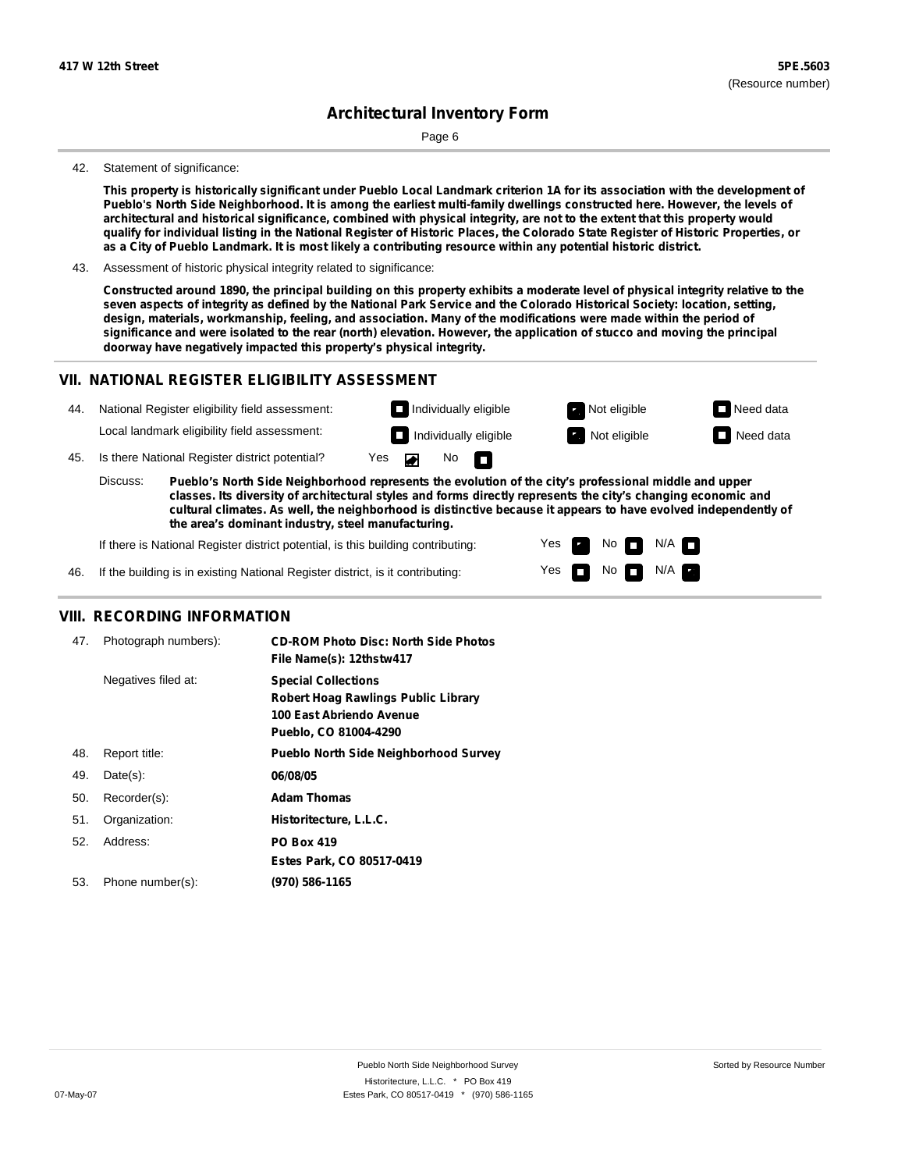Page 6

#### 42. Statement of significance:

This property is historically significant under Pueblo Local Landmark criterion 1A for its association with the development of Pueblo's North Side Neighborhood. It is among the earliest multi-family dwellings constructed here. However, the levels of architectural and historical significance, combined with physical integrity, are not to the extent that this property would qualify for individual listing in the National Register of Historic Places, the Colorado State Register of Historic Properties, or as a City of Pueblo Landmark. It is most likely a contributing resource within any potential historic district.

43. Assessment of historic physical integrity related to significance:

Constructed around 1890, the principal building on this property exhibits a moderate level of physical integrity relative to the seven aspects of integrity as defined by the National Park Service and the Colorado Historical Society: location, setting, design, materials, workmanship, feeling, and association. Many of the modifications were made within the period of significance and were isolated to the rear (north) elevation. However, the application of stucco and moving the principal **doorway have negatively impacted this property's physical integrity.**

#### **VII. NATIONAL REGISTER ELIGIBILITY ASSESSMENT**

| 44. |                                                                                                                                                                                                                                                                                                                                                       | National Register eligibility field assessment: |     |  |                   | $\Box$ Individually eligible | Not eligible | $\Box$ Need data |
|-----|-------------------------------------------------------------------------------------------------------------------------------------------------------------------------------------------------------------------------------------------------------------------------------------------------------------------------------------------------------|-------------------------------------------------|-----|--|-------------------|------------------------------|--------------|------------------|
|     |                                                                                                                                                                                                                                                                                                                                                       | Local landmark eligibility field assessment:    |     |  |                   | $\Box$ Individually eligible | Not eligible | Need data        |
| 45. |                                                                                                                                                                                                                                                                                                                                                       | Is there National Register district potential?  | Yes |  | No $\blacksquare$ |                              |              |                  |
|     | Discuss:<br>Pueblo's North Side Neighborhood represents the evolution of the city's professional middle and upper<br>classes. Its diversity of architectural styles and forms directly represents the city's changing economic and<br>cultural climates. As well, the neighborhood is distinctive because it appears to have evolved independently of |                                                 |     |  |                   |                              |              |                  |

Yes Yes

No

No  $\blacksquare$  N/A  $\blacksquare$ 

 $N/A$   $\Box$ 

**the area's dominant industry, steel manufacturing.**

If there is National Register district potential, is this building contributing:

46. If the building is in existing National Register district, is it contributing:

#### **VIII. RECORDING INFORMATION**

| 47. | Photograph numbers): | <b>CD-ROM Photo Disc: North Side Photos</b><br>File Name(s): 12thstw417                                                       |
|-----|----------------------|-------------------------------------------------------------------------------------------------------------------------------|
|     | Negatives filed at:  | <b>Special Collections</b><br><b>Robert Hoag Rawlings Public Library</b><br>100 East Abriendo Avenue<br>Pueblo, CO 81004-4290 |
| 48. | Report title:        | <b>Pueblo North Side Neighborhood Survey</b>                                                                                  |
| 49. | $Date(s)$ :          | 06/08/05                                                                                                                      |
| 50. | Recorder(s):         | <b>Adam Thomas</b>                                                                                                            |
| 51. | Organization:        | Historitecture, L.L.C.                                                                                                        |
| 52. | Address:             | <b>PO Box 419</b>                                                                                                             |
|     |                      | Estes Park, CO 80517-0419                                                                                                     |
| 53. | Phone number(s):     | (970) 586-1165                                                                                                                |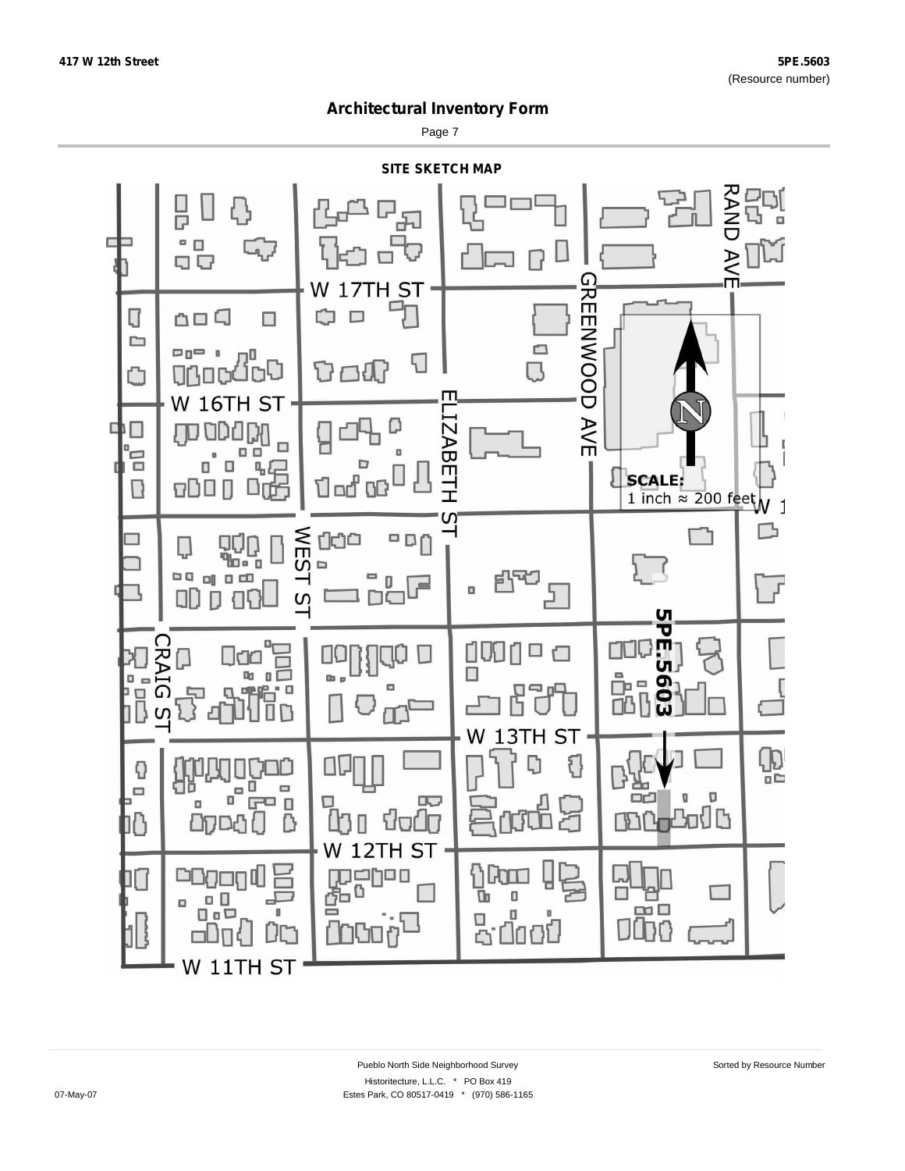Page 7